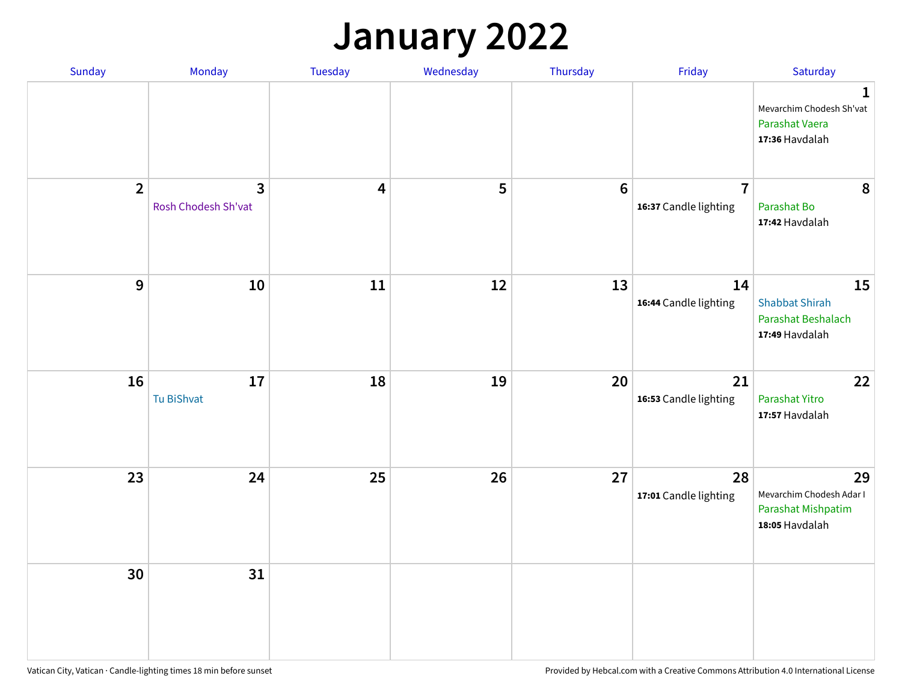### **January 2022**

| Sunday         | Monday                   | Tuesday                 | Wednesday | Thursday         | Friday                                  | Saturday                                                                     |
|----------------|--------------------------|-------------------------|-----------|------------------|-----------------------------------------|------------------------------------------------------------------------------|
|                |                          |                         |           |                  |                                         | $\mathbf{1}$<br>Mevarchim Chodesh Sh'vat<br>Parashat Vaera<br>17:36 Havdalah |
| $\overline{2}$ | 3<br>Rosh Chodesh Sh'vat | $\overline{\mathbf{4}}$ | 5         | $\boldsymbol{6}$ | $\overline{7}$<br>16:37 Candle lighting | 8<br>Parashat Bo<br>17:42 Havdalah                                           |
| $\mathbf 9$    | 10                       | ${\bf 11}$              | 12        | 13               | 14<br>16:44 Candle lighting             | 15<br><b>Shabbat Shirah</b><br>Parashat Beshalach<br>17:49 Havdalah          |
| 16             | 17<br>Tu BiShvat         | 18                      | 19        | 20               | 21<br>16:53 Candle lighting             | 22<br>Parashat Yitro<br>17:57 Havdalah                                       |
| 23             | 24                       | 25                      | 26        | 27               | 28<br>17:01 Candle lighting             | 29<br>Mevarchim Chodesh Adar I<br>Parashat Mishpatim<br>18:05 Havdalah       |
| 30             | 31                       |                         |           |                  |                                         |                                                                              |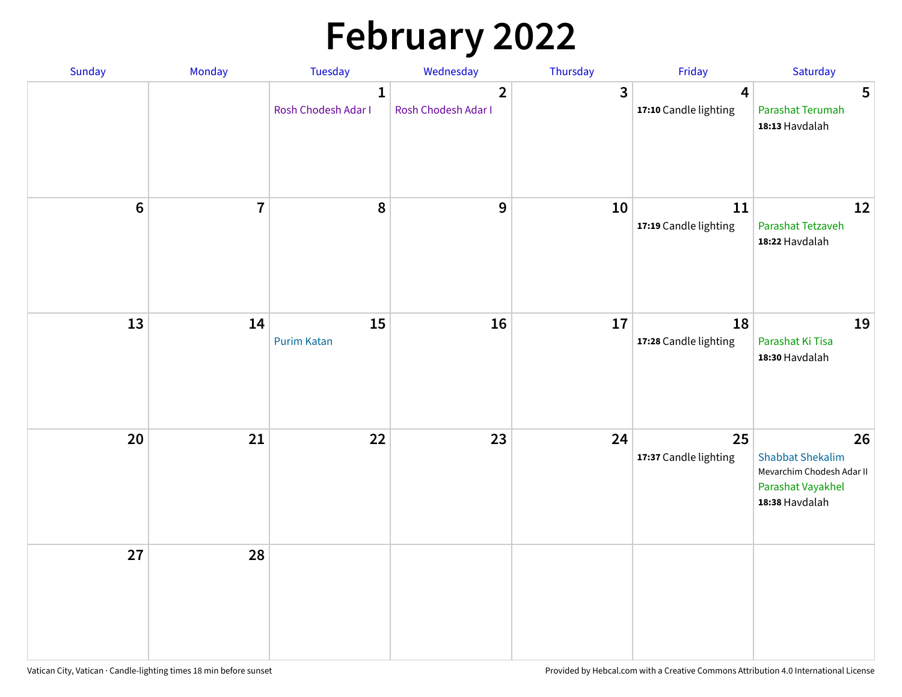# **February 2022**

| Sunday | Monday                  | <b>Tuesday</b>                      | Wednesday                                      | Thursday | Friday                                           | Saturday                                                                                          |
|--------|-------------------------|-------------------------------------|------------------------------------------------|----------|--------------------------------------------------|---------------------------------------------------------------------------------------------------|
|        |                         | $\mathbf{1}$<br>Rosh Chodesh Adar I | $\overline{\mathbf{2}}$<br>Rosh Chodesh Adar I | 3        | $\overline{\mathbf{4}}$<br>17:10 Candle lighting | 5<br>Parashat Terumah<br>18:13 Havdalah                                                           |
| $6\,$  | $\overline{\mathbf{7}}$ | 8                                   | $\boldsymbol{9}$                               | 10       | 11<br>17:19 Candle lighting                      | 12<br>Parashat Tetzaveh<br>18:22 Havdalah                                                         |
| 13     | 14                      | 15<br><b>Purim Katan</b>            | 16                                             | 17       | 18<br>17:28 Candle lighting                      | 19<br>Parashat Ki Tisa<br>18:30 Havdalah                                                          |
| 20     | 21                      | 22                                  | 23                                             | 24       | 25<br>17:37 Candle lighting                      | 26<br><b>Shabbat Shekalim</b><br>Mevarchim Chodesh Adar II<br>Parashat Vayakhel<br>18:38 Havdalah |
| 27     | 28                      |                                     |                                                |          |                                                  |                                                                                                   |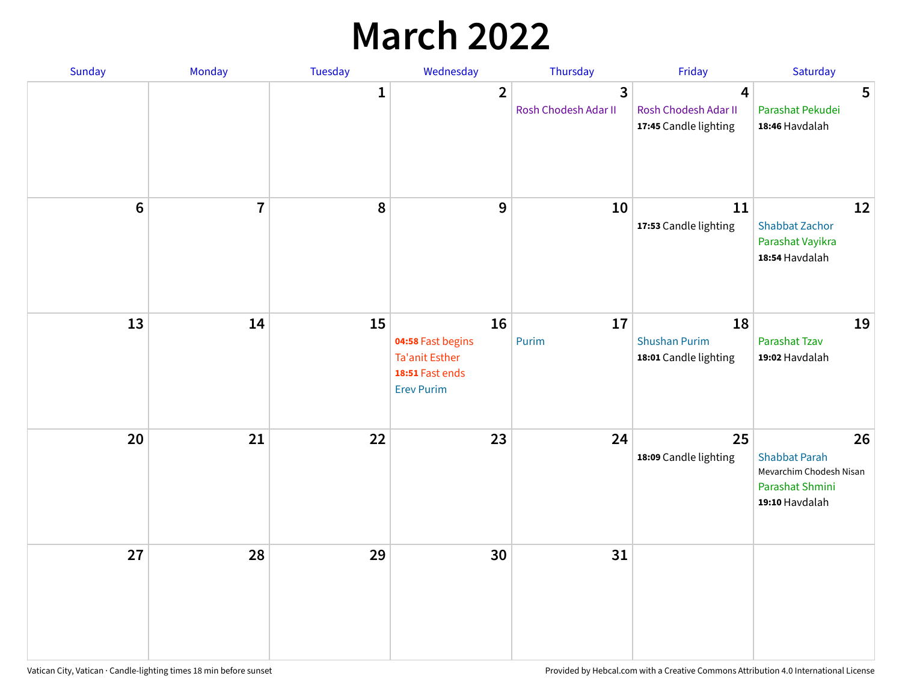## **March 2022**

| Sunday | Monday         | <b>Tuesday</b> | Wednesday                                                                         | Thursday                  | Friday                                              | Saturday                                                                                   |
|--------|----------------|----------------|-----------------------------------------------------------------------------------|---------------------------|-----------------------------------------------------|--------------------------------------------------------------------------------------------|
|        |                | $\mathbf{1}$   | $\overline{\mathbf{2}}$                                                           | 3<br>Rosh Chodesh Adar II | 4<br>Rosh Chodesh Adar II<br>17:45 Candle lighting  | 5<br>Parashat Pekudei<br>18:46 Havdalah                                                    |
| $6\,$  | $\overline{7}$ | 8              | 9                                                                                 | 10                        | 11<br>17:53 Candle lighting                         | 12<br><b>Shabbat Zachor</b><br>Parashat Vayikra<br>18:54 Havdalah                          |
| 13     | 14             | 15             | 16<br>04:58 Fast begins<br>Ta'anit Esther<br>18:51 Fast ends<br><b>Erev Purim</b> | 17<br>Purim               | 18<br><b>Shushan Purim</b><br>18:01 Candle lighting | 19<br>Parashat Tzav<br>19:02 Havdalah                                                      |
| 20     | 21             | 22             | 23                                                                                | 24                        | 25<br>18:09 Candle lighting                         | 26<br><b>Shabbat Parah</b><br>Mevarchim Chodesh Nisan<br>Parashat Shmini<br>19:10 Havdalah |
| 27     | 28             | 29             | 30                                                                                | 31                        |                                                     |                                                                                            |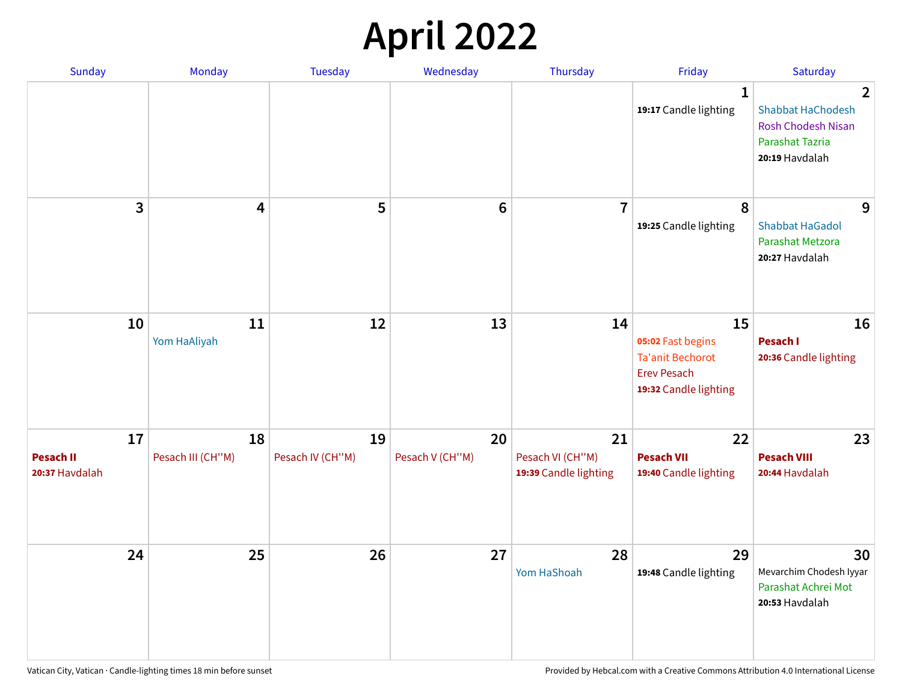## **April 2022**

| <b>Sunday</b>                            | Monday                  | Tuesday                | Wednesday             | Thursday                                        | Friday                                                                                            | Saturday                                                                                                            |
|------------------------------------------|-------------------------|------------------------|-----------------------|-------------------------------------------------|---------------------------------------------------------------------------------------------------|---------------------------------------------------------------------------------------------------------------------|
|                                          |                         |                        |                       |                                                 | 1<br>19:17 Candle lighting                                                                        | $\overline{2}$<br><b>Shabbat HaChodesh</b><br><b>Rosh Chodesh Nisan</b><br><b>Parashat Tazria</b><br>20:19 Havdalah |
| 3                                        | 4                       | 5                      | $6\phantom{1}$        | $\overline{7}$                                  | 8<br>19:25 Candle lighting                                                                        | 9<br><b>Shabbat HaGadol</b><br>Parashat Metzora<br>20:27 Havdalah                                                   |
| 10                                       | 11<br>Yom HaAliyah      | 12                     | 13                    | 14                                              | 15<br>05:02 Fast begins<br><b>Ta'anit Bechorot</b><br><b>Erev Pesach</b><br>19:32 Candle lighting | 16<br>Pesach I<br>20:36 Candle lighting                                                                             |
| 17<br><b>Pesach II</b><br>20:37 Havdalah | 18<br>Pesach III (CH"M) | 19<br>Pesach IV (CH"M) | 20<br>Pesach V (CH"M) | 21<br>Pesach VI (CH"M)<br>19:39 Candle lighting | 22<br><b>Pesach VII</b><br>19:40 Candle lighting                                                  | 23<br><b>Pesach VIII</b><br>20:44 Havdalah                                                                          |
| 24                                       | 25                      | 26                     | 27                    | 28<br>Yom HaShoah                               | 29<br>19:48 Candle lighting                                                                       | 30<br>Mevarchim Chodesh Iyyar<br>Parashat Achrei Mot<br>20:53 Havdalah                                              |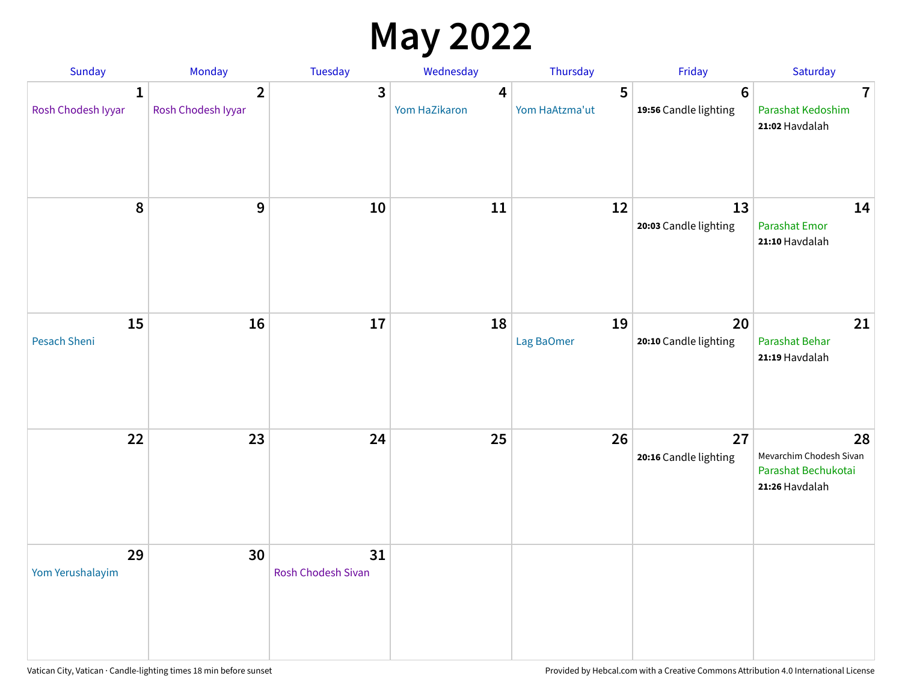## **May 2022**

| <b>Sunday</b>                      | Monday                               | Tuesday                         | Wednesday          | Thursday            | Friday                                   | Saturday                                                               |
|------------------------------------|--------------------------------------|---------------------------------|--------------------|---------------------|------------------------------------------|------------------------------------------------------------------------|
| $\mathbf{1}$<br>Rosh Chodesh Iyyar | $\overline{2}$<br>Rosh Chodesh Iyyar | 3                               | 4<br>Yom HaZikaron | 5<br>Yom HaAtzma'ut | $6\phantom{1}6$<br>19:56 Candle lighting | $\overline{7}$<br>Parashat Kedoshim<br>21:02 Havdalah                  |
| $\pmb{8}$                          | $\mathbf{9}$                         | 10                              | 11                 | 12                  | 13<br>20:03 Candle lighting              | 14<br><b>Parashat Emor</b><br>21:10 Havdalah                           |
| 15<br>Pesach Sheni                 | 16                                   | 17                              | 18                 | 19<br>Lag BaOmer    | 20<br>20:10 Candle lighting              | 21<br>Parashat Behar<br>21:19 Havdalah                                 |
| 22                                 | 23                                   | 24                              | 25                 | 26                  | 27<br>20:16 Candle lighting              | 28<br>Mevarchim Chodesh Sivan<br>Parashat Bechukotai<br>21:26 Havdalah |
| 29<br>Yom Yerushalayim             | 30                                   | 31<br><b>Rosh Chodesh Sivan</b> |                    |                     |                                          |                                                                        |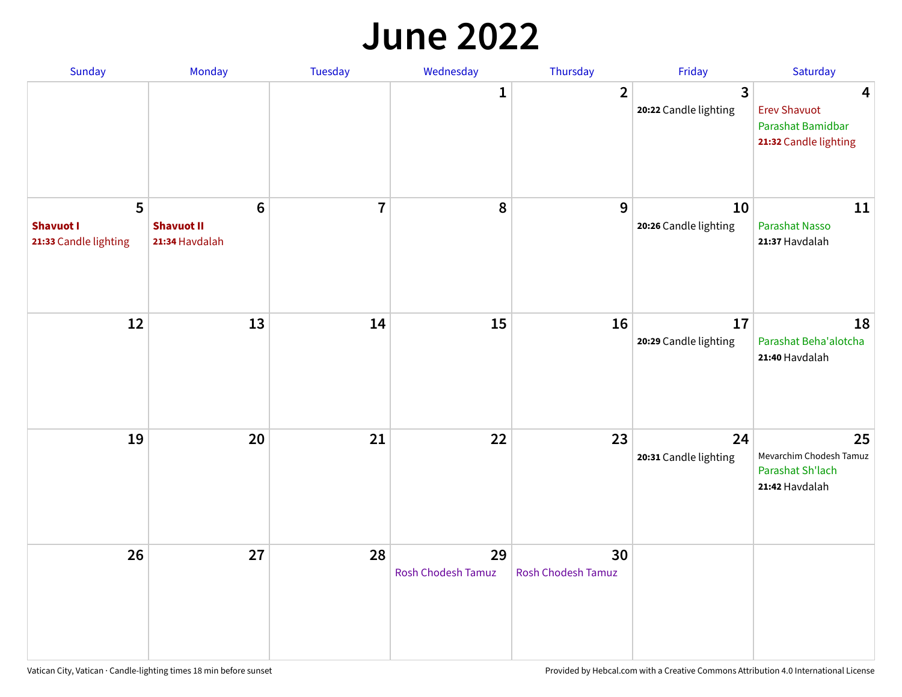#### **June 2022**

| Sunday                                         | Monday                                                | Tuesday        | Wednesday                       | Thursday                        | Friday                      | Saturday                                                               |
|------------------------------------------------|-------------------------------------------------------|----------------|---------------------------------|---------------------------------|-----------------------------|------------------------------------------------------------------------|
|                                                |                                                       |                | 1                               | $\overline{2}$                  | 3<br>20:22 Candle lighting  | 4<br><b>Erev Shavuot</b><br>Parashat Bamidbar<br>21:32 Candle lighting |
| 5<br><b>Shavuot I</b><br>21:33 Candle lighting | $6\phantom{1}$<br><b>Shavuot II</b><br>21:34 Havdalah | $\overline{7}$ | 8                               | 9                               | 10<br>20:26 Candle lighting | 11<br><b>Parashat Nasso</b><br>21:37 Havdalah                          |
| 12                                             | 13                                                    | 14             | 15                              | 16                              | 17<br>20:29 Candle lighting | 18<br>Parashat Beha'alotcha<br>21:40 Havdalah                          |
| 19                                             | 20                                                    | 21             | 22                              | 23                              | 24<br>20:31 Candle lighting | 25<br>Mevarchim Chodesh Tamuz<br>Parashat Sh'lach<br>21:42 Havdalah    |
| 26                                             | 27                                                    | 28             | 29<br><b>Rosh Chodesh Tamuz</b> | 30<br><b>Rosh Chodesh Tamuz</b> |                             |                                                                        |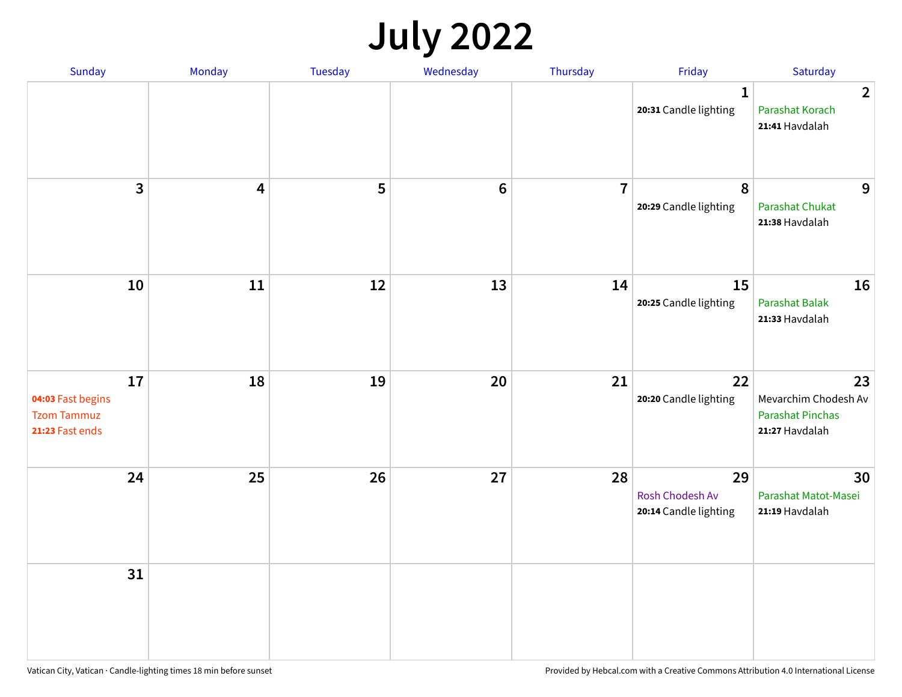## **July 2022**

| Sunday                                                           | Monday     | Tuesday | Wednesday | Thursday       | Friday                                                | Saturday                                                                |
|------------------------------------------------------------------|------------|---------|-----------|----------------|-------------------------------------------------------|-------------------------------------------------------------------------|
|                                                                  |            |         |           |                | $\mathbf{1}$<br>20:31 Candle lighting                 | $\overline{2}$<br>Parashat Korach<br>21:41 Havdalah                     |
| $\overline{\mathbf{3}}$                                          | 4          | 5       | $\bf 6$   | $\overline{7}$ | 8<br>20:29 Candle lighting                            | 9<br><b>Parashat Chukat</b><br>21:38 Havdalah                           |
| 10                                                               | ${\bf 11}$ | 12      | 13        | 14             | 15<br>20:25 Candle lighting                           | 16<br><b>Parashat Balak</b><br>21:33 Havdalah                           |
| 17<br>04:03 Fast begins<br><b>Tzom Tammuz</b><br>21:23 Fast ends | 18         | 19      | 20        | 21             | 22<br>20:20 Candle lighting                           | 23<br>Mevarchim Chodesh Av<br><b>Parashat Pinchas</b><br>21:27 Havdalah |
| 24                                                               | 25         | 26      | 27        | 28             | 29<br><b>Rosh Chodesh Av</b><br>20:14 Candle lighting | 30<br>Parashat Matot-Masei<br>21:19 Havdalah                            |
| 31                                                               |            |         |           |                |                                                       |                                                                         |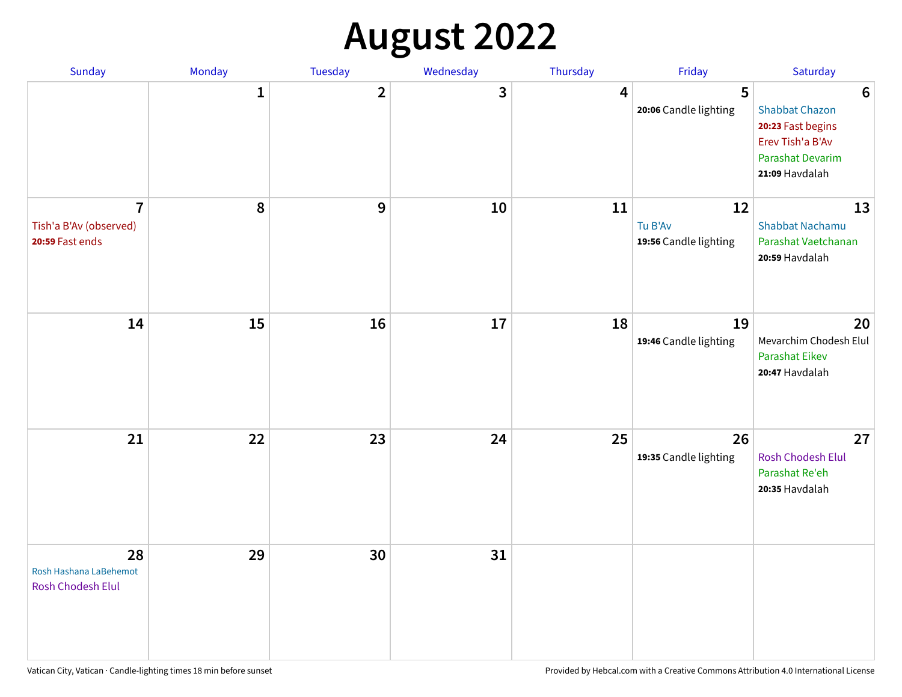## **August 2022**

| Sunday                                                      | Monday       | Tuesday      | Wednesday | Thursday | Friday                                 | Saturday                                                                                                                       |
|-------------------------------------------------------------|--------------|--------------|-----------|----------|----------------------------------------|--------------------------------------------------------------------------------------------------------------------------------|
|                                                             | $\mathbf{1}$ | $\mathbf{2}$ | 3         | 4        | 5<br>20:06 Candle lighting             | $6\phantom{1}6$<br><b>Shabbat Chazon</b><br>20:23 Fast begins<br>Erev Tish'a B'Av<br><b>Parashat Devarim</b><br>21:09 Havdalah |
| $\overline{7}$<br>Tish'a B'Av (observed)<br>20:59 Fast ends | 8            | 9            | 10        | 11       | 12<br>Tu B'Av<br>19:56 Candle lighting | 13<br><b>Shabbat Nachamu</b><br>Parashat Vaetchanan<br>20:59 Havdalah                                                          |
| 14                                                          | 15           | 16           | 17        | 18       | 19<br>19:46 Candle lighting            | 20<br>Mevarchim Chodesh Elul<br><b>Parashat Eikev</b><br>20:47 Havdalah                                                        |
| 21                                                          | 22           | 23           | 24        | 25       | 26<br>19:35 Candle lighting            | 27<br><b>Rosh Chodesh Elul</b><br>Parashat Re'eh<br>20:35 Havdalah                                                             |
| 28<br>Rosh Hashana LaBehemot<br>Rosh Chodesh Elul           | 29           | 30           | 31        |          |                                        |                                                                                                                                |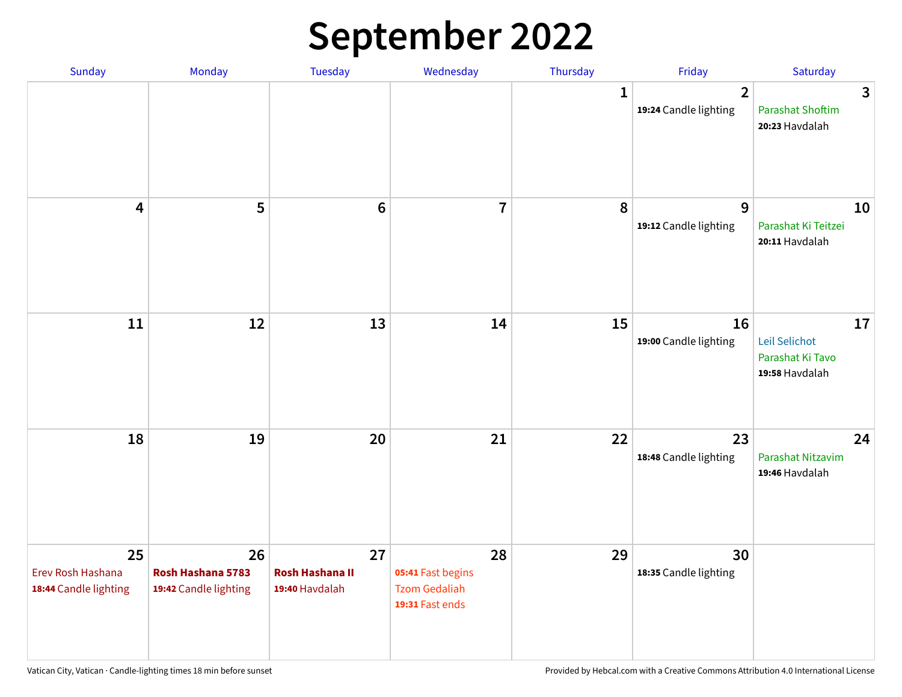## **September 2022**

| Sunday                                           | Monday                                           | <b>Tuesday</b>                                 | Wednesday                                                          | Thursday    | Friday                                  | Saturday                                                  |
|--------------------------------------------------|--------------------------------------------------|------------------------------------------------|--------------------------------------------------------------------|-------------|-----------------------------------------|-----------------------------------------------------------|
|                                                  |                                                  |                                                |                                                                    | $\mathbf 1$ | $\overline{2}$<br>19:24 Candle lighting | 3<br><b>Parashat Shoftim</b><br>20:23 Havdalah            |
| $\overline{\mathbf{4}}$                          | 5                                                | $6\phantom{1}6$                                | $\overline{7}$                                                     | 8           | 9<br>19:12 Candle lighting              | 10<br>Parashat Ki Teitzei<br>20:11 Havdalah               |
| 11                                               | 12                                               | 13                                             | 14                                                                 | 15          | 16<br>19:00 Candle lighting             | 17<br>Leil Selichot<br>Parashat Ki Tavo<br>19:58 Havdalah |
| 18                                               | 19                                               | 20                                             | 21                                                                 | 22          | 23<br>18:48 Candle lighting             | 24<br>Parashat Nitzavim<br>19:46 Havdalah                 |
| 25<br>Erev Rosh Hashana<br>18:44 Candle lighting | 26<br>Rosh Hashana 5783<br>19:42 Candle lighting | 27<br><b>Rosh Hashana II</b><br>19:40 Havdalah | 28<br>05:41 Fast begins<br><b>Tzom Gedaliah</b><br>19:31 Fast ends | 29          | 30<br>18:35 Candle lighting             |                                                           |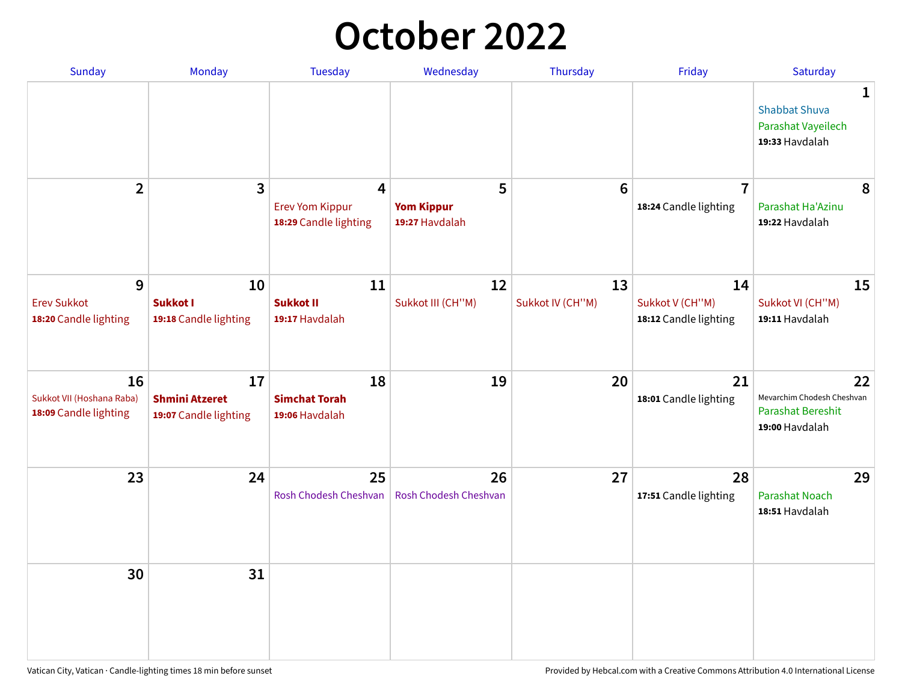## **October 2022**

| <b>Sunday</b>                                            | Monday                                               | <b>Tuesday</b>                                       | Wednesday                                | Thursday               | Friday                                         | Saturday                                                                     |
|----------------------------------------------------------|------------------------------------------------------|------------------------------------------------------|------------------------------------------|------------------------|------------------------------------------------|------------------------------------------------------------------------------|
|                                                          |                                                      |                                                      |                                          |                        |                                                | $\mathbf{1}$<br><b>Shabbat Shuva</b><br>Parashat Vayeilech<br>19:33 Havdalah |
| $\overline{2}$                                           | $\mathbf{3}$                                         | 4<br><b>Erev Yom Kippur</b><br>18:29 Candle lighting | 5<br><b>Yom Kippur</b><br>19:27 Havdalah | $6\phantom{1}6$        | $\overline{7}$<br>18:24 Candle lighting        | 8<br>Parashat Ha'Azinu<br>19:22 Havdalah                                     |
| 9<br><b>Erev Sukkot</b><br>18:20 Candle lighting         | 10<br><b>Sukkot I</b><br>19:18 Candle lighting       | 11<br><b>Sukkot II</b><br>19:17 Havdalah             | 12<br>Sukkot III (CH"M)                  | 13<br>Sukkot IV (CH"M) | 14<br>Sukkot V (CH"M)<br>18:12 Candle lighting | 15<br>Sukkot VI (CH"M)<br>19:11 Havdalah                                     |
| 16<br>Sukkot VII (Hoshana Raba)<br>18:09 Candle lighting | 17<br><b>Shmini Atzeret</b><br>19:07 Candle lighting | 18<br><b>Simchat Torah</b><br>19:06 Havdalah         | 19                                       | 20                     | 21<br>18:01 Candle lighting                    | 22<br>Mevarchim Chodesh Cheshvan<br>Parashat Bereshit<br>19:00 Havdalah      |
| 23                                                       | 24                                                   | 25<br>Rosh Chodesh Cheshvan                          | 26<br>Rosh Chodesh Cheshvan              | 27                     | 28<br>17:51 Candle lighting                    | 29<br><b>Parashat Noach</b><br>18:51 Havdalah                                |
| 30                                                       | 31                                                   |                                                      |                                          |                        |                                                |                                                                              |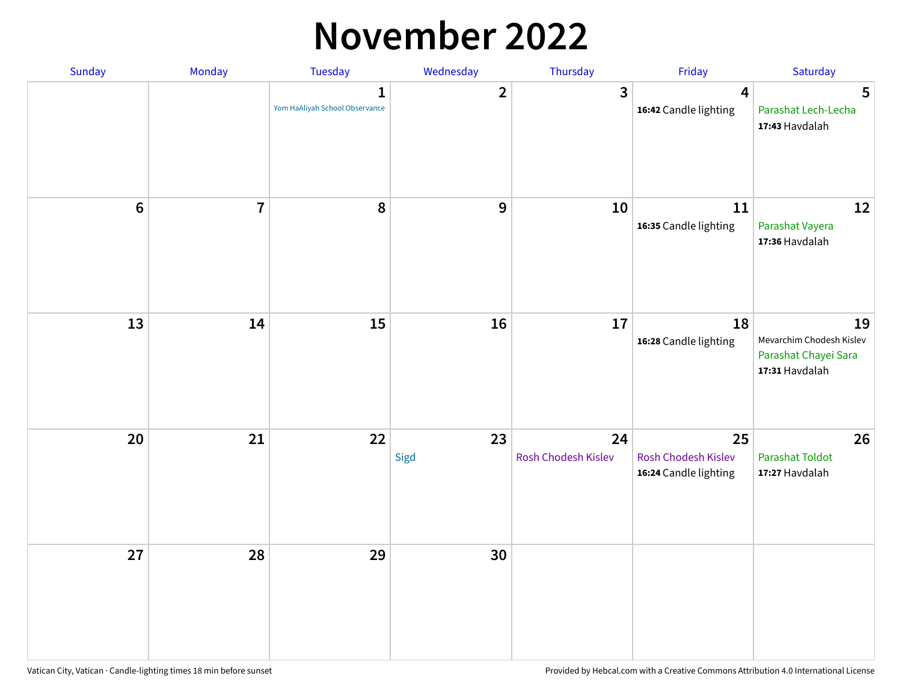## **November 2022**

| Sunday         | Monday         | <b>Tuesday</b>                                 | Wednesday        | Thursday                  | Friday                                             | Saturday                                                                 |
|----------------|----------------|------------------------------------------------|------------------|---------------------------|----------------------------------------------------|--------------------------------------------------------------------------|
|                |                | $\mathbf{1}$<br>Yom HaAliyah School Observance | $\mathbf{2}$     | $\mathbf{3}$              | $\overline{\mathbf{4}}$<br>16:42 Candle lighting   | 5<br>Parashat Lech-Lecha<br>17:43 Havdalah                               |
| $6\phantom{a}$ | $\overline{7}$ | 8                                              | $\boldsymbol{9}$ | 10                        | 11<br>16:35 Candle lighting                        | 12<br>Parashat Vayera<br>17:36 Havdalah                                  |
| 13             | 14             | 15                                             | 16               | 17                        | 18<br>16:28 Candle lighting                        | 19<br>Mevarchim Chodesh Kislev<br>Parashat Chayei Sara<br>17:31 Havdalah |
| 20             | 21             | 22                                             | 23<br>Sigd       | 24<br>Rosh Chodesh Kislev | 25<br>Rosh Chodesh Kislev<br>16:24 Candle lighting | 26<br><b>Parashat Toldot</b><br>17:27 Havdalah                           |
| 27             | 28             | 29                                             | 30               |                           |                                                    |                                                                          |